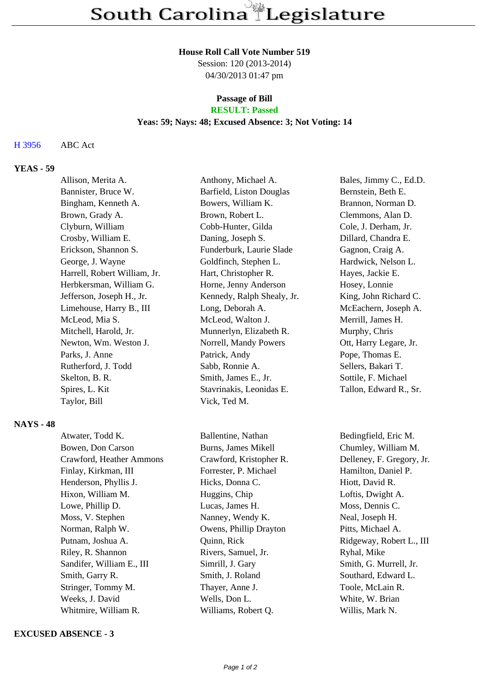#### **House Roll Call Vote Number 519**

Session: 120 (2013-2014) 04/30/2013 01:47 pm

# **Passage of Bill**

# **RESULT: Passed**

## **Yeas: 59; Nays: 48; Excused Absence: 3; Not Voting: 14**

### H 3956 ABC Act

### **YEAS - 59**

| Allison, Merita A.           | Anthony, Michael A.        | Bales, Jimmy C., Ed.D. |
|------------------------------|----------------------------|------------------------|
| Bannister, Bruce W.          | Barfield, Liston Douglas   | Bernstein, Beth E.     |
| Bingham, Kenneth A.          | Bowers, William K.         | Brannon, Norman D.     |
| Brown, Grady A.              | Brown, Robert L.           | Clemmons, Alan D.      |
| Clyburn, William             | Cobb-Hunter, Gilda         | Cole, J. Derham, Jr.   |
| Crosby, William E.           | Daning, Joseph S.          | Dillard, Chandra E.    |
| Erickson, Shannon S.         | Funderburk, Laurie Slade   | Gagnon, Craig A.       |
| George, J. Wayne             | Goldfinch, Stephen L.      | Hardwick, Nelson L.    |
| Harrell, Robert William, Jr. | Hart, Christopher R.       | Hayes, Jackie E.       |
| Herbkersman, William G.      | Horne, Jenny Anderson      | Hosey, Lonnie          |
| Jefferson, Joseph H., Jr.    | Kennedy, Ralph Shealy, Jr. | King, John Richard C.  |
| Limehouse, Harry B., III     | Long, Deborah A.           | McEachern, Joseph A.   |
| McLeod, Mia S.               | McLeod, Walton J.          | Merrill, James H.      |
| Mitchell, Harold, Jr.        | Munnerlyn, Elizabeth R.    | Murphy, Chris          |
| Newton, Wm. Weston J.        | Norrell, Mandy Powers      | Ott, Harry Legare, Jr. |
| Parks, J. Anne               | Patrick, Andy              | Pope, Thomas E.        |
| Rutherford, J. Todd          | Sabb, Ronnie A.            | Sellers, Bakari T.     |
| Skelton, B. R.               | Smith, James E., Jr.       | Sottile, F. Michael    |
| Spires, L. Kit               | Stavrinakis, Leonidas E.   | Tallon, Edward R., Sr. |
| Taylor, Bill                 | Vick, Ted M.               |                        |

#### **NAYS - 48**

Atwater, Todd K. Ballentine, Nathan Bedingfield, Eric M. Bowen, Don Carson Burns, James Mikell Chumley, William M. Crawford, Heather Ammons Crawford, Kristopher R. Delleney, F. Gregory, Jr. Finlay, Kirkman, III Forrester, P. Michael Hamilton, Daniel P. Henderson, Phyllis J. Hicks, Donna C. Hiott, David R. Hixon, William M. **Huggins, Chip** Loftis, Dwight A. Lowe, Phillip D. Lucas, James H. Moss, Dennis C. Moss, V. Stephen Nanney, Wendy K. Neal, Joseph H. Norman, Ralph W. Chael A. Cowens, Phillip Drayton Pitts, Michael A. Putnam, Joshua A. (Quinn, Rick Ridgeway, Robert L., III) Riley, R. Shannon Rivers, Samuel, Jr. Ryhal, Mike Sandifer, William E., III Simrill, J. Gary Smith, G. Murrell, Jr. Smith, Garry R. Smith, J. Roland Southard, Edward L. Stringer, Tommy M. Thayer, Anne J. Toole, McLain R. Weeks, J. David **Wells, Don L.** White, W. Brian Whitmire, William R. Williams, Robert Q. Willis, Mark N.

#### **EXCUSED ABSENCE - 3**